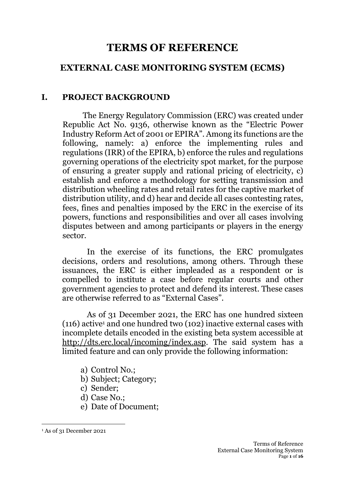# **TERMS OF REFERENCE**

### **EXTERNAL CASE MONITORING SYSTEM (ECMS)**

#### **I. PROJECT BACKGROUND**

The Energy Regulatory Commission (ERC) was created under Republic Act No. 9136, otherwise known as the "Electric Power Industry Reform Act of 2001 or EPIRA". Among its functions are the following, namely: a) enforce the implementing rules and regulations (IRR) of the EPIRA, b) enforce the rules and regulations governing operations of the electricity spot market, for the purpose of ensuring a greater supply and rational pricing of electricity, c) establish and enforce a methodology for setting transmission and distribution wheeling rates and retail rates for the captive market of distribution utility, and d) hear and decide all cases contesting rates. fees, fines and penalties imposed by the ERC in the exercise of its powers, functions and responsibilities and over all cases involving disputes between and among participants or players in the energy sector.

In the exercise of its functions, the ERC promulgates decisions, orders and resolutions, among others. Through these issuances, the ERC is either impleaded as a respondent or is compelled to institute a case before regular courts and other government agencies to protect and defend its interest. These cases are otherwise referred to as "External Cases".

As of 31 December 2021, the ERC has one hundred sixteen  $(116)$  active<sup>1</sup> and one hundred two  $(102)$  inactive external cases with incomplete details encoded in the existing beta system accessible at [http://dts.erc.local/incoming/index.asp.](http://dts.erc.local/incoming/index.asp) The said system has a limited feature and can only provide the following information:

- a) Control No.;
- b) Subject; Category;
- c) Sender;
- d) Case No.;
- e) Date of Document;

<sup>1</sup> As of 31 December 2021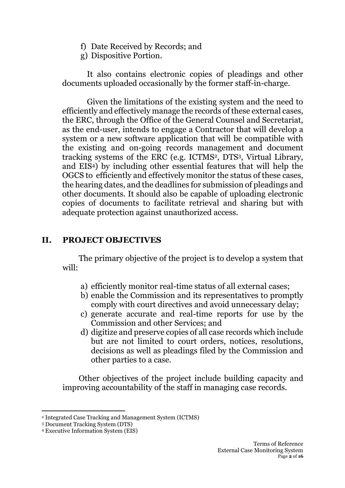- f) Date Received by Records; and
- g) Dispositive Portion.

It also contains electronic copies of pleadings and other documents uploaded occasionally by the former staff-in-charge.

Given the limitations of the existing system and the need to efficiently and effectively manage the records of these external cases, the ERC, through the Office of the General Counsel and Secretariat, as the end-user, intends to engage a Contractor that will develop a system or a new software application that will be compatible with the existing and on-going records management and document tracking systems of the ERC (e.g. ICTMS2, DTS3, Virtual Library, and EIS4) by including other essential features that will help the OGCS to efficiently and effectively monitor the status of these cases, the hearing dates, and the deadlines for submission of pleadings and other documents. It should also be capable of uploading electronic copies of documents to facilitate retrieval and sharing but with adequate protection against unauthorized access.

#### **II. PROJECT OBJECTIVES**

The primary objective of the project is to develop a system that will:

- a) efficiently monitor real-time status of all external cases;
- b) enable the Commission and its representatives to promptly comply with court directives and avoid unnecessary delay;
- c) generate accurate and real-time reports for use by the Commission and other Services; and
- d) digitize and preserve copies of all case records which include but are not limited to court orders, notices, resolutions, decisions as well as pleadings filed by the Commission and other parties to a case.

Other objectives of the project include building capacity and improving accountability of the staff in managing case records.

<sup>2</sup> Integrated Case Tracking and Management System (ICTMS)

<sup>3</sup> Document Tracking System (DTS)

<sup>4</sup> Executive Information System (EIS)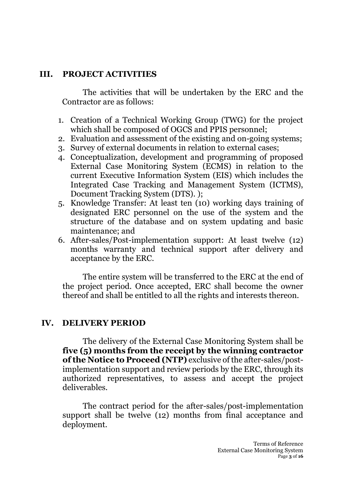#### **III. PROJECT ACTIVITIES**

The activities that will be undertaken by the ERC and the Contractor are as follows:

- 1. Creation of a Technical Working Group (TWG) for the project which shall be composed of OGCS and PPIS personnel;
- 2. Evaluation and assessment of the existing and on-going systems;
- 3. Survey of external documents in relation to external cases;
- 4. Conceptualization, development and programming of proposed External Case Monitoring System (ECMS) in relation to the current Executive Information System (EIS) which includes the Integrated Case Tracking and Management System (ICTMS), Document Tracking System (DTS). );
- 5. Knowledge Transfer: At least ten (10) working days training of designated ERC personnel on the use of the system and the structure of the database and on system updating and basic maintenance; and
- 6. After-sales/Post-implementation support: At least twelve (12) months warranty and technical support after delivery and acceptance by the ERC.

The entire system will be transferred to the ERC at the end of the project period. Once accepted, ERC shall become the owner thereof and shall be entitled to all the rights and interests thereon.

#### **IV. DELIVERY PERIOD**

The delivery of the External Case Monitoring System shall be **five (5) months from the receipt by the winning contractor of the Notice to Proceed (NTP)** exclusive of the after-sales/postimplementation support and review periods by the ERC, through its authorized representatives, to assess and accept the project deliverables.

The contract period for the after-sales/post-implementation support shall be twelve (12) months from final acceptance and deployment.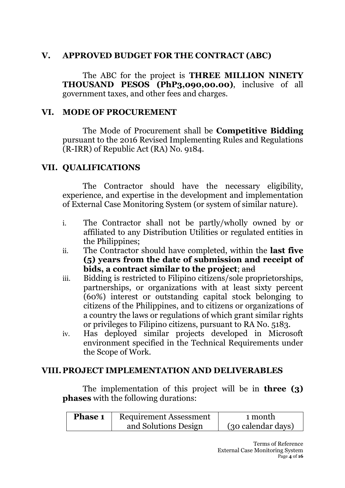#### **V. APPROVED BUDGET FOR THE CONTRACT (ABC)**

The ABC for the project is **THREE MILLION NINETY THOUSAND PESOS (PhP3,090,00.00)**, inclusive of all government taxes, and other fees and charges.

#### **VI. MODE OF PROCUREMENT**

The Mode of Procurement shall be **Competitive Bidding** pursuant to the 2016 Revised Implementing Rules and Regulations (R-IRR) of Republic Act (RA) No. 9184.

#### **VII. QUALIFICATIONS**

The Contractor should have the necessary eligibility, experience, and expertise in the development and implementation of External Case Monitoring System (or system of similar nature).

- i. The Contractor shall not be partly/wholly owned by or affiliated to any Distribution Utilities or regulated entities in the Philippines;
- ii. The Contractor should have completed, within the **last five (5) years from the date of submission and receipt of bids, a contract similar to the project**; and
- iii. Bidding is restricted to Filipino citizens/sole proprietorships, partnerships, or organizations with at least sixty percent (60%) interest or outstanding capital stock belonging to citizens of the Philippines, and to citizens or organizations of a country the laws or regulations of which grant similar rights or privileges to Filipino citizens, pursuant to RA No. 5183.
- iv. Has deployed similar projects developed in Microsoft environment specified in the Technical Requirements under the Scope of Work.

#### **VIII. PROJECT IMPLEMENTATION AND DELIVERABLES**

The implementation of this project will be in **three (3) phases** with the following durations:

| <b>Phase 1</b> | <b>Requirement Assessment</b> | 1 month            |
|----------------|-------------------------------|--------------------|
|                | and Solutions Design          | (30 calendar days) |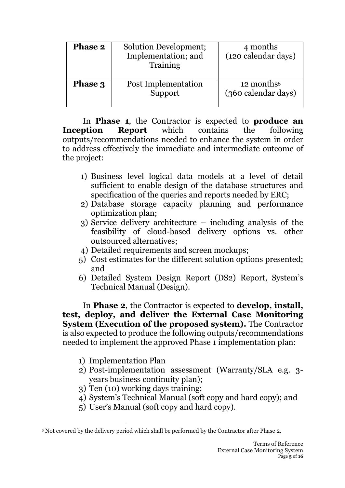| <b>Phase 2</b> | Solution Development;<br>Implementation; and<br>Training | 4 months<br>(120 calendar days)               |
|----------------|----------------------------------------------------------|-----------------------------------------------|
| Phase 3        | Post Implementation<br>Support                           | 12 months <sup>5</sup><br>(360 calendar days) |

In **Phase 1**, the Contractor is expected to **produce an Inception Report** which contains the following outputs/recommendations needed to enhance the system in order to address effectively the immediate and intermediate outcome of the project:

- 1) Business level logical data models at a level of detail sufficient to enable design of the database structures and specification of the queries and reports needed by ERC;
- 2) Database storage capacity planning and performance optimization plan;
- 3) Service delivery architecture including analysis of the feasibility of cloud-based delivery options vs. other outsourced alternatives;
- 4) Detailed requirements and screen mockups;
- 5) Cost estimates for the different solution options presented; and
- 6) Detailed System Design Report (DS2) Report, System's Technical Manual (Design).

In **Phase 2**, the Contractor is expected to **develop, install, test, deploy, and deliver the External Case Monitoring System (Execution of the proposed system).** The Contractor is also expected to produce the following outputs/recommendations needed to implement the approved Phase 1 implementation plan:

- 1) Implementation Plan
- 2) Post-implementation assessment (Warranty/SLA e.g. 3 years business continuity plan);
- 3) Ten (10) working days training;
- 4) System's Technical Manual (soft copy and hard copy); and
- 5) User's Manual (soft copy and hard copy).

<sup>5</sup> Not covered by the delivery period which shall be performed by the Contractor after Phase 2.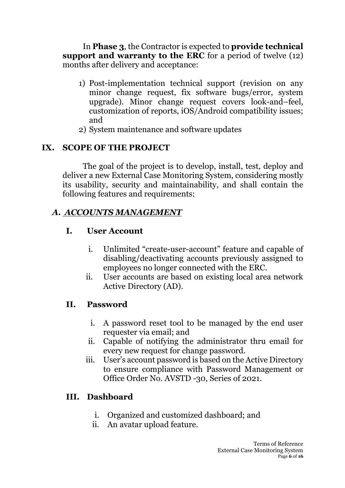In **Phase 3**, the Contractor is expected to **provide technical support and warranty to the ERC** for a period of twelve (12) months after delivery and acceptance:

- 1) Post-implementation technical support (revision on any minor change request, fix software bugs/error, system upgrade). Minor change request covers look-and–feel, customization of reports, iOS/Android compatibility issues; and
- 2) System maintenance and software updates

### **IX. SCOPE OF THE PROJECT**

The goal of the project is to develop, install, test, deploy and deliver a new External Case Monitoring System, considering mostly its usability, security and maintainability, and shall contain the following features and requirements:

#### *A. ACCOUNTS MANAGEMENT*

### **I. User Account**

- i. Unlimited "create-user-account" feature and capable of disabling/deactivating accounts previously assigned to employees no longer connected with the ERC.
- ii. User accounts are based on existing local area network Active Directory (AD).

## **II. Password**

- i. A password reset tool to be managed by the end user requester via email; and
- ii. Capable of notifying the administrator thru email for every new request for change password.
- iii. User's account password is based on the Active Directory to ensure compliance with Password Management or Office Order No. AVSTD -30, Series of 2021.

## **III. Dashboard**

- i. Organized and customized dashboard; and
- ii. An avatar upload feature.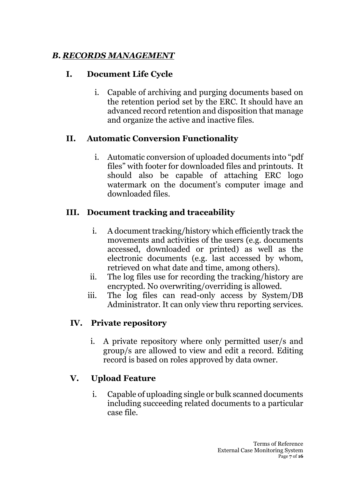## *B. RECORDS MANAGEMENT*

## **I. Document Life Cycle**

i. Capable of archiving and purging documents based on the retention period set by the ERC. It should have an advanced record retention and disposition that manage and organize the active and inactive files.

### **II. Automatic Conversion Functionality**

i. Automatic conversion of uploaded documents into "pdf files" with footer for downloaded files and printouts. It should also be capable of attaching ERC logo watermark on the document's computer image and downloaded files.

## **III. Document tracking and traceability**

- i. A document tracking/history which efficiently track the movements and activities of the users (e.g. documents accessed, downloaded or printed) as well as the electronic documents (e.g. last accessed by whom, retrieved on what date and time, among others).
- ii. The log files use for recording the tracking/history are encrypted. No overwriting/overriding is allowed.
- iii. The log files can read-only access by System/DB Administrator. It can only view thru reporting services.

# **IV. Private repository**

i. A private repository where only permitted user/s and group/s are allowed to view and edit a record. Editing record is based on roles approved by data owner.

## **V. Upload Feature**

i. Capable of uploading single or bulk scanned documents including succeeding related documents to a particular case file.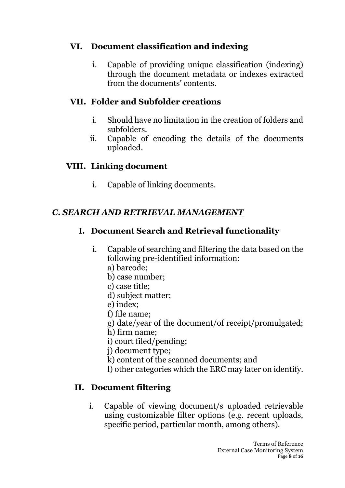## **VI. Document classification and indexing**

i. Capable of providing unique classification (indexing) through the document metadata or indexes extracted from the documents' contents.

# **VII. Folder and Subfolder creations**

- i. Should have no limitation in the creation of folders and subfolders.
- ii. Capable of encoding the details of the documents uploaded.

# **VIII. Linking document**

i. Capable of linking documents.

# *C. SEARCH AND RETRIEVAL MANAGEMENT*

# **I. Document Search and Retrieval functionality**

- i. Capable of searching and filtering the data based on the following pre-identified information:
	- a) barcode;
	- b) case number;
	- c) case title;
	- d) subject matter;
	- e) index;
	- f) file name;
	- g) date/year of the document/of receipt/promulgated;
	- h) firm name;
	- i) court filed/pending;
	- j) document type;
	- k) content of the scanned documents; and
	- l) other categories which the ERC may later on identify.

# **II. Document filtering**

i. Capable of viewing document/s uploaded retrievable using customizable filter options (e.g. recent uploads, specific period, particular month, among others).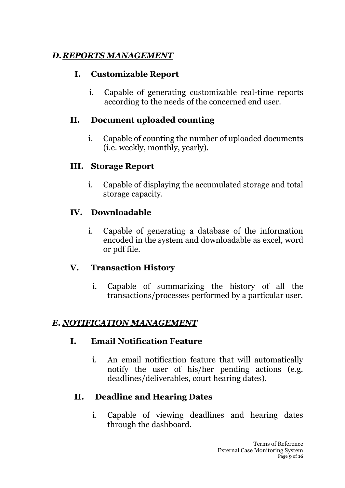## *D.REPORTS MANAGEMENT*

### **I. Customizable Report**

i. Capable of generating customizable real-time reports according to the needs of the concerned end user.

## **II. Document uploaded counting**

i. Capable of counting the number of uploaded documents (i.e. weekly, monthly, yearly).

### **III. Storage Report**

i. Capable of displaying the accumulated storage and total storage capacity.

## **IV. Downloadable**

i. Capable of generating a database of the information encoded in the system and downloadable as excel, word or pdf file.

## **V. Transaction History**

i. Capable of summarizing the history of all the transactions/processes performed by a particular user.

## *E. NOTIFICATION MANAGEMENT*

## **I. Email Notification Feature**

i. An email notification feature that will automatically notify the user of his/her pending actions (e.g. deadlines/deliverables, court hearing dates).

# **II. Deadline and Hearing Dates**

i. Capable of viewing deadlines and hearing dates through the dashboard.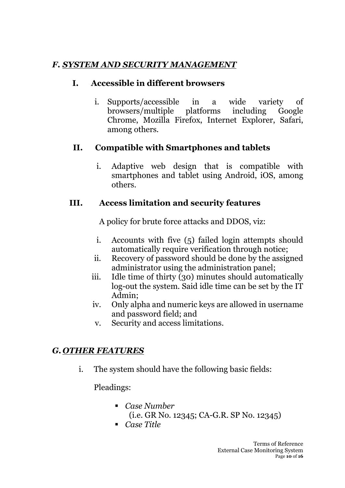## *F. SYSTEM AND SECURITY MANAGEMENT*

#### **I. Accessible in different browsers**

i. Supports/accessible in a wide variety of browsers/multiple platforms including Google Chrome, Mozilla Firefox, Internet Explorer, Safari, among others.

### **II. Compatible with Smartphones and tablets**

i. Adaptive web design that is compatible with smartphones and tablet using Android, iOS, among others.

### **III. Access limitation and security features**

A policy for brute force attacks and DDOS, viz:

- i. Accounts with five (5) failed login attempts should automatically require verification through notice;
- ii. Recovery of password should be done by the assigned administrator using the administration panel;
- iii. Idle time of thirty (30) minutes should automatically log-out the system. Said idle time can be set by the IT Admin;
- iv. Only alpha and numeric keys are allowed in username and password field; and
- v. Security and access limitations.

# *G. OTHER FEATURES*

i. The system should have the following basic fields:

Pleadings:

- *Case Number*  (i.e. GR No. 12345; CA-G.R. SP No. 12345)
- *Case Title*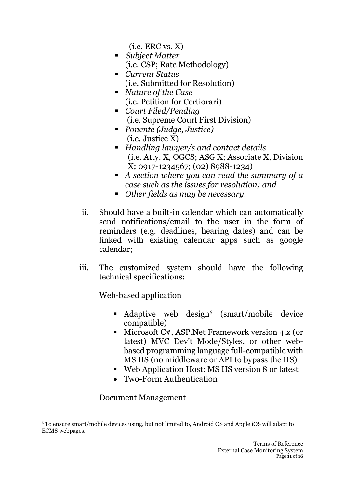$(i.e.$  ERC vs.  $X)$ 

- *Subject Matter* (i.e. CSP; Rate Methodology)
- *Current Status*  (i.e. Submitted for Resolution)
- *Nature of the Case*  (i.e. Petition for Certiorari)
- *Court Filed/Pending*  (i.e. Supreme Court First Division)
- *Ponente (Judge, Justice)* (i.e. Justice X)
- *Handling lawyer/s and contact details* (i.e. Atty. X, OGCS; ASG X; Associate X, Division X; 0917-1234567; (02) 8988-1234)
- *A section where you can read the summary of a case such as the issues for resolution; and*
- *Other fields as may be necessary.*
- ii. Should have a built-in calendar which can automatically send notifications/email to the user in the form of reminders (e.g. deadlines, hearing dates) and can be linked with existing calendar apps such as google calendar;
- iii. The customized system should have the following technical specifications:

Web-based application

- Adaptive web design<sup>6</sup> (smart/mobile device compatible)
- Microsoft C#, ASP. Net Framework version 4.x (or latest) MVC Dev't Mode/Styles, or other webbased programming language full-compatible with MS IIS (no middleware or API to bypass the IIS)
- Web Application Host: MS IIS version 8 or latest
- Two-Form Authentication

#### Document Management

<sup>6</sup> To ensure smart/mobile devices using, but not limited to, Android OS and Apple iOS will adapt to ECMS webpages.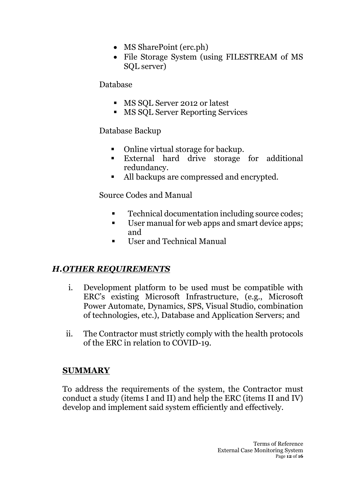- MS SharePoint (erc.ph)
- File Storage System (using FILESTREAM of MS SQL server)

#### Database

- MS SOL Server 2012 or latest
- MS SQL Server Reporting Services

#### Database Backup

- Online virtual storage for backup.
- External hard drive storage for additional redundancy.
- All backups are compressed and encrypted.

Source Codes and Manual

- Technical documentation including source codes:
- User manual for web apps and smart device apps; and
- User and Technical Manual

## *H.OTHER REQUIREMENTS*

- i. Development platform to be used must be compatible with ERC's existing Microsoft Infrastructure, (e.g., Microsoft Power Automate, Dynamics, SPS, Visual Studio, combination of technologies, etc.), Database and Application Servers; and
- ii. The Contractor must strictly comply with the health protocols of the ERC in relation to COVID-19.

#### **SUMMARY**

To address the requirements of the system, the Contractor must conduct a study (items I and II) and help the ERC (items II and IV) develop and implement said system efficiently and effectively.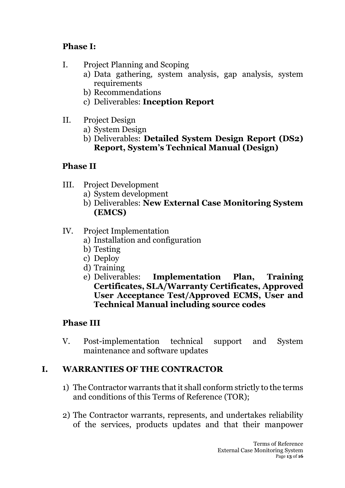## **Phase I:**

- I. Project Planning and Scoping
	- a) Data gathering, system analysis, gap analysis, system requirements
	- b) Recommendations
	- c) Deliverables: **Inception Report**
- II. Project Design
	- a) System Design
	- b) Deliverables: **Detailed System Design Report (DS2) Report, System's Technical Manual (Design)**

## **Phase II**

- III. Project Development
	- a) System development
	- b) Deliverables: **New External Case Monitoring System (EMCS)**
- IV. Project Implementation
	- a) Installation and configuration
	- b) Testing
	- c) Deploy
	- d) Training
	- e) Deliverables: **Implementation Plan, Training Certificates, SLA/Warranty Certificates, Approved User Acceptance Test/Approved ECMS, User and Technical Manual including source codes**

# **Phase III**

V. Post-implementation technical support and System maintenance and software updates

# **I. WARRANTIES OF THE CONTRACTOR**

- 1) The Contractor warrants that it shall conform strictly to the terms and conditions of this Terms of Reference (TOR);
- 2) The Contractor warrants, represents, and undertakes reliability of the services, products updates and that their manpower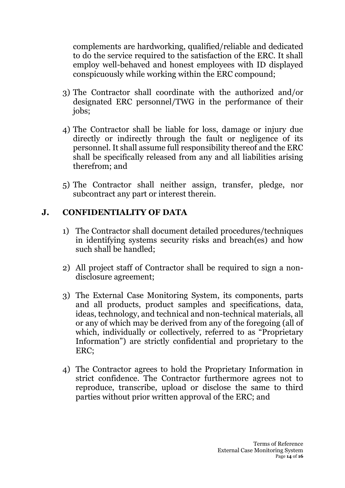complements are hardworking, qualified/reliable and dedicated to do the service required to the satisfaction of the ERC. It shall employ well-behaved and honest employees with ID displayed conspicuously while working within the ERC compound;

- 3) The Contractor shall coordinate with the authorized and/or designated ERC personnel/TWG in the performance of their jobs;
- 4) The Contractor shall be liable for loss, damage or injury due directly or indirectly through the fault or negligence of its personnel. It shall assume full responsibility thereof and the ERC shall be specifically released from any and all liabilities arising therefrom; and
- 5) The Contractor shall neither assign, transfer, pledge, nor subcontract any part or interest therein.

### **J. CONFIDENTIALITY OF DATA**

- 1) The Contractor shall document detailed procedures/techniques in identifying systems security risks and breach(es) and how such shall be handled;
- 2) All project staff of Contractor shall be required to sign a nondisclosure agreement;
- 3) The External Case Monitoring System, its components, parts and all products, product samples and specifications, data, ideas, technology, and technical and non-technical materials, all or any of which may be derived from any of the foregoing (all of which, individually or collectively, referred to as "Proprietary Information") are strictly confidential and proprietary to the ERC;
- 4) The Contractor agrees to hold the Proprietary Information in strict confidence. The Contractor furthermore agrees not to reproduce, transcribe, upload or disclose the same to third parties without prior written approval of the ERC; and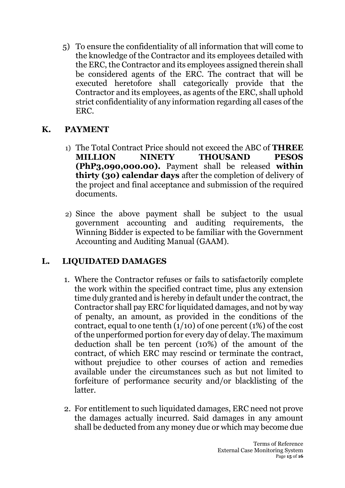5) To ensure the confidentiality of all information that will come to the knowledge of the Contractor and its employees detailed with the ERC, the Contractor and its employees assigned therein shall be considered agents of the ERC. The contract that will be executed heretofore shall categorically provide that the Contractor and its employees, as agents of the ERC, shall uphold strict confidentiality of any information regarding all cases of the ERC.

#### **K. PAYMENT**

- 1) The Total Contract Price should not exceed the ABC of **THREE MILLION NINETY THOUSAND PESOS (PhP3,090,000.00).** Payment shall be released **within thirty (30) calendar days** after the completion of delivery of the project and final acceptance and submission of the required documents.
- 2) Since the above payment shall be subject to the usual government accounting and auditing requirements, the Winning Bidder is expected to be familiar with the Government Accounting and Auditing Manual (GAAM).

#### **L. LIQUIDATED DAMAGES**

- 1. Where the Contractor refuses or fails to satisfactorily complete the work within the specified contract time, plus any extension time duly granted and is hereby in default under the contract, the Contractor shall pay ERC for liquidated damages, and not by way of penalty, an amount, as provided in the conditions of the contract, equal to one tenth  $(1/10)$  of one percent (1%) of the cost of the unperformed portion for every day of delay. The maximum deduction shall be ten percent (10%) of the amount of the contract, of which ERC may rescind or terminate the contract, without prejudice to other courses of action and remedies available under the circumstances such as but not limited to forfeiture of performance security and/or blacklisting of the latter.
- 2. For entitlement to such liquidated damages, ERC need not prove the damages actually incurred. Said damages in any amount shall be deducted from any money due or which may become due